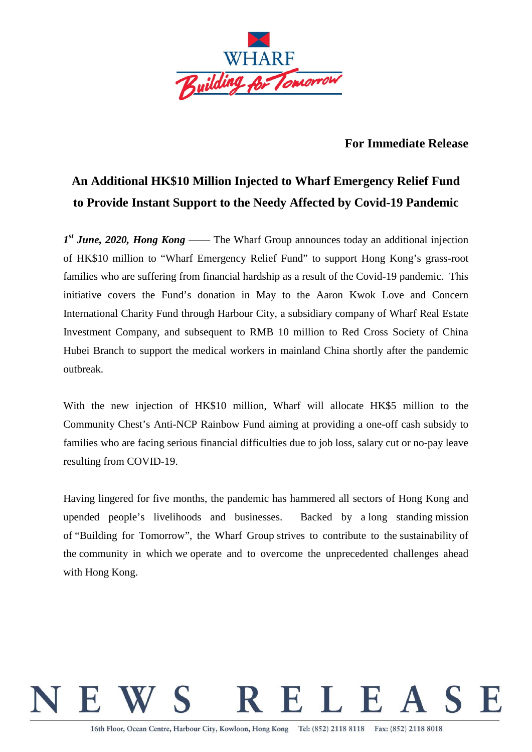

## **For Immediate Release**

## **An Additional HK\$10 Million Injected to Wharf Emergency Relief Fund to Provide Instant Support to the Needy Affected by Covid-19 Pandemic**

*1st June, 2020, Hong Kong* —— The Wharf Group announces today an additional injection of HK\$10 million to "Wharf Emergency Relief Fund" to support Hong Kong's grass-root families who are suffering from financial hardship as a result of the Covid-19 pandemic. This initiative covers the Fund's donation in May to the Aaron Kwok Love and Concern International Charity Fund through Harbour City, a subsidiary company of Wharf Real Estate Investment Company, and subsequent to RMB 10 million to Red Cross Society of China Hubei Branch to support the medical workers in mainland China shortly after the pandemic outbreak.

With the new injection of HK\$10 million, Wharf will allocate HK\$5 million to the Community Chest's Anti-NCP Rainbow Fund aiming at providing a one-off cash subsidy to families who are facing serious financial difficulties due to job loss, salary cut or no-pay leave resulting from COVID-19.

Having lingered for five months, the pandemic has hammered all sectors of Hong Kong and upended people's livelihoods and businesses. Backed by a long standing mission of "Building for Tomorrow", the Wharf Group strives to contribute to the sustainability of the community in which we operate and to overcome the unprecedented challenges ahead with Hong Kong.

## RELEAS  $\mathbb{H}$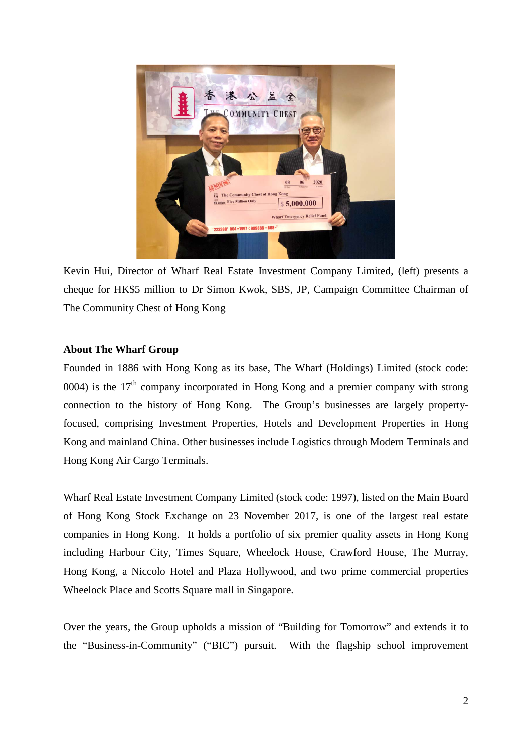

Kevin Hui, Director of Wharf Real Estate Investment Company Limited, (left) presents a cheque for HK\$5 million to Dr Simon Kwok, SBS, JP, Campaign Committee Chairman of The Community Chest of Hong Kong

## **About The Wharf Group**

Founded in 1886 with Hong Kong as its base, The Wharf (Holdings) Limited (stock code: 0004) is the  $17<sup>th</sup>$  company incorporated in Hong Kong and a premier company with strong connection to the history of Hong Kong. The Group's businesses are largely propertyfocused, comprising Investment Properties, Hotels and Development Properties in Hong Kong and mainland China. Other businesses include Logistics through Modern Terminals and Hong Kong Air Cargo Terminals.

Wharf Real Estate Investment Company Limited (stock code: 1997), listed on the Main Board of Hong Kong Stock Exchange on 23 November 2017, is one of the largest real estate companies in Hong Kong. It holds a portfolio of six premier quality assets in Hong Kong including Harbour City, Times Square, Wheelock House, Crawford House, The Murray, Hong Kong, a Niccolo Hotel and Plaza Hollywood, and two prime commercial properties Wheelock Place and Scotts Square mall in Singapore.

Over the years, the Group upholds a mission of "Building for Tomorrow" and extends it to the "Business-in-Community" ("BIC") pursuit. With the flagship school improvement